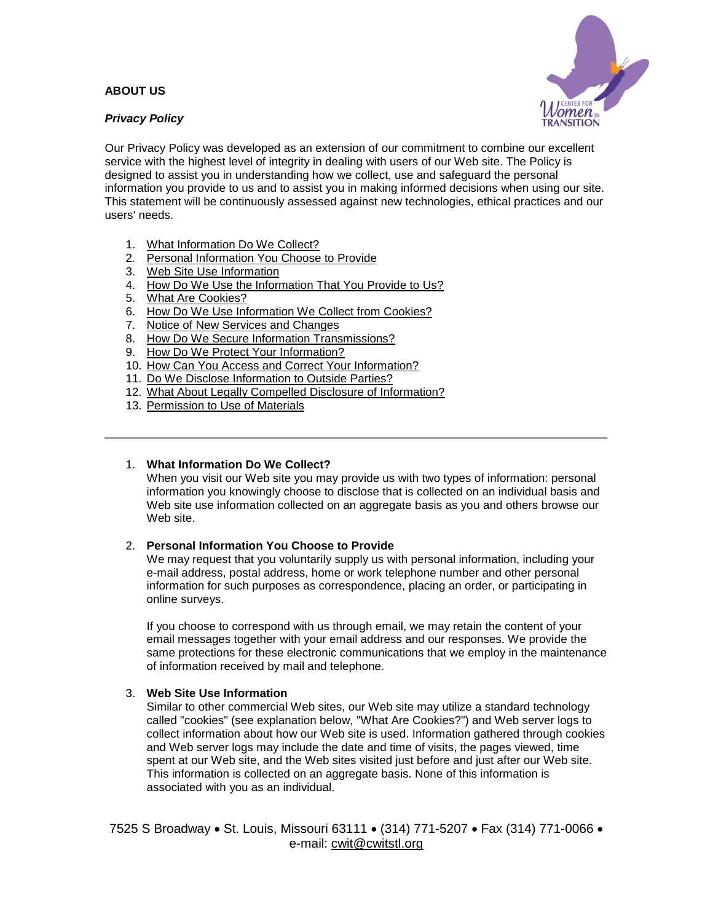# **ABOUT US**

## *Privacy Policy*



Our Privacy Policy was developed as an extension of our commitment to combine our excellent service with the highest level of integrity in dealing with users of our Web site. The Policy is designed to assist you in understanding how we collect, use and safeguard the personal information you provide to us and to assist you in making informed decisions when using our site. This statement will be continuously assessed against new technologies, ethical practices and our users' needs.

- 1. [What Information Do We Collect?](http://digital-community.com/demo/btcwichita.com/about_us/privacy_policy.html#listitem1859-8000#listitem1859-8000)
- 2. [Personal Information You Choose to Provide](http://digital-community.com/demo/btcwichita.com/about_us/privacy_policy.html#listitem1859-8001#listitem1859-8001)
- 3. [Web Site Use Information](http://digital-community.com/demo/btcwichita.com/about_us/privacy_policy.html#listitem1859-8002#listitem1859-8002)
- 4. [How Do We Use the Information That You Provide to Us?](http://digital-community.com/demo/btcwichita.com/about_us/privacy_policy.html#listitem1859-8003#listitem1859-8003)
- 5. [What Are Cookies?](http://digital-community.com/demo/btcwichita.com/about_us/privacy_policy.html#listitem1859-8004#listitem1859-8004)
- 6. [How Do We Use Information We Collect from Cookies?](http://digital-community.com/demo/btcwichita.com/about_us/privacy_policy.html#listitem1859-8005#listitem1859-8005)
- 7. [Notice of New Services and Changes](http://digital-community.com/demo/btcwichita.com/about_us/privacy_policy.html#listitem1859-8006#listitem1859-8006)
- 8. [How Do We Secure Information Transmissions?](http://digital-community.com/demo/btcwichita.com/about_us/privacy_policy.html#listitem1859-8007#listitem1859-8007)
- 9. [How Do We Protect Your Information?](http://digital-community.com/demo/btcwichita.com/about_us/privacy_policy.html#listitem1859-8008#listitem1859-8008)
- 10. [How Can You Access and Correct Your Information?](http://digital-community.com/demo/btcwichita.com/about_us/privacy_policy.html#listitem1859-8009#listitem1859-8009)
- 11. [Do We Disclose Information to Outside Parties?](http://digital-community.com/demo/btcwichita.com/about_us/privacy_policy.html#listitem1859-8010#listitem1859-8010)
- 12. [What About Legally Compelled Disclosure of Information?](http://digital-community.com/demo/btcwichita.com/about_us/privacy_policy.html#listitem1859-8011#listitem1859-8011)
- 13. [Permission to Use of Materials](http://digital-community.com/demo/btcwichita.com/about_us/privacy_policy.html#listitem1859-8012#listitem1859-8012)

### 1. **What Information Do We Collect?**

When you visit our Web site you may provide us with two types of information: personal information you knowingly choose to disclose that is collected on an individual basis and Web site use information collected on an aggregate basis as you and others browse our Web site.

### 2. **Personal Information You Choose to Provide**

We may request that you voluntarily supply us with personal information, including your e-mail address, postal address, home or work telephone number and other personal information for such purposes as correspondence, placing an order, or participating in online surveys.

If you choose to correspond with us through email, we may retain the content of your email messages together with your email address and our responses. We provide the same protections for these electronic communications that we employ in the maintenance of information received by mail and telephone.

### 3. **Web Site Use Information**

Similar to other commercial Web sites, our Web site may utilize a standard technology called "cookies" (see explanation below, "What Are Cookies?") and Web server logs to collect information about how our Web site is used. Information gathered through cookies and Web server logs may include the date and time of visits, the pages viewed, time spent at our Web site, and the Web sites visited just before and just after our Web site. This information is collected on an aggregate basis. None of this information is associated with you as an individual.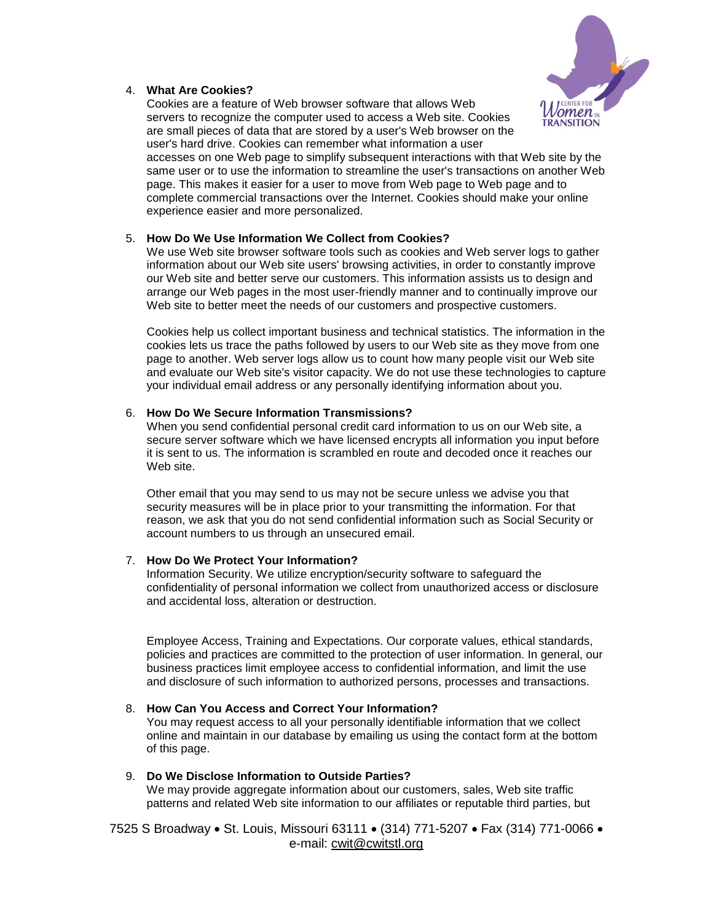

## 4. **What Are Cookies?**

Cookies are a feature of Web browser software that allows Web servers to recognize the computer used to access a Web site. Cookies are small pieces of data that are stored by a user's Web browser on the user's hard drive. Cookies can remember what information a user

accesses on one Web page to simplify subsequent interactions with that Web site by the same user or to use the information to streamline the user's transactions on another Web page. This makes it easier for a user to move from Web page to Web page and to complete commercial transactions over the Internet. Cookies should make your online experience easier and more personalized.

### 5. **How Do We Use Information We Collect from Cookies?**

We use Web site browser software tools such as cookies and Web server logs to gather information about our Web site users' browsing activities, in order to constantly improve our Web site and better serve our customers. This information assists us to design and arrange our Web pages in the most user-friendly manner and to continually improve our Web site to better meet the needs of our customers and prospective customers.

Cookies help us collect important business and technical statistics. The information in the cookies lets us trace the paths followed by users to our Web site as they move from one page to another. Web server logs allow us to count how many people visit our Web site and evaluate our Web site's visitor capacity. We do not use these technologies to capture your individual email address or any personally identifying information about you.

#### 6. **How Do We Secure Information Transmissions?**

When you send confidential personal credit card information to us on our Web site, a secure server software which we have licensed encrypts all information you input before it is sent to us. The information is scrambled en route and decoded once it reaches our Web site.

Other email that you may send to us may not be secure unless we advise you that security measures will be in place prior to your transmitting the information. For that reason, we ask that you do not send confidential information such as Social Security or account numbers to us through an unsecured email.

#### 7. **How Do We Protect Your Information?**

Information Security. We utilize encryption/security software to safeguard the confidentiality of personal information we collect from unauthorized access or disclosure and accidental loss, alteration or destruction.

Employee Access, Training and Expectations. Our corporate values, ethical standards, policies and practices are committed to the protection of user information. In general, our business practices limit employee access to confidential information, and limit the use and disclosure of such information to authorized persons, processes and transactions.

#### 8. **How Can You Access and Correct Your Information?**

You may request access to all your personally identifiable information that we collect online and maintain in our database by emailing us using the contact form at the bottom of this page.

## 9. **Do We Disclose Information to Outside Parties?**

We may provide aggregate information about our customers, sales, Web site traffic patterns and related Web site information to our affiliates or reputable third parties, but

7525 S Broadway • St. Louis, Missouri 63111 • (314) 771-5207 • Fax (314) 771-0066 • e-mail: cwit@cwitstl.org